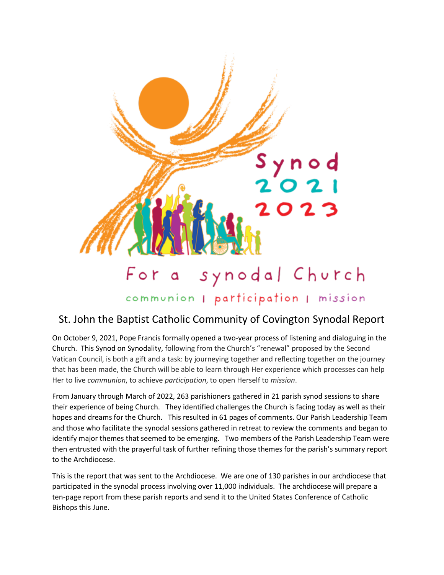

communion | participation | mission

# St. John the Baptist Catholic Community of Covington Synodal Report

On October 9, 2021, Pope Francis formally opened a two-year process of listening and dialoguing in the Church. This Synod on Synodality, following from the Church's "renewal" proposed by the Second Vatican Council, is both a gift and a task: by journeying together and reflecting together on the journey that has been made, the Church will be able to learn through Her experience which processes can help Her to live *communion*, to achieve *participation*, to open Herself to *mission*.

From January through March of 2022, 263 parishioners gathered in 21 parish synod sessions to share their experience of being Church. They identified challenges the Church is facing today as well as their hopes and dreams for the Church. This resulted in 61 pages of comments. Our Parish Leadership Team and those who facilitate the synodal sessions gathered in retreat to review the comments and began to identify major themes that seemed to be emerging. Two members of the Parish Leadership Team were then entrusted with the prayerful task of further refining those themes for the parish's summary report to the Archdiocese.

This is the report that was sent to the Archdiocese. We are one of 130 parishes in our archdiocese that participated in the synodal process involving over 11,000 individuals. The archdiocese will prepare a ten-page report from these parish reports and send it to the United States Conference of Catholic Bishops this June.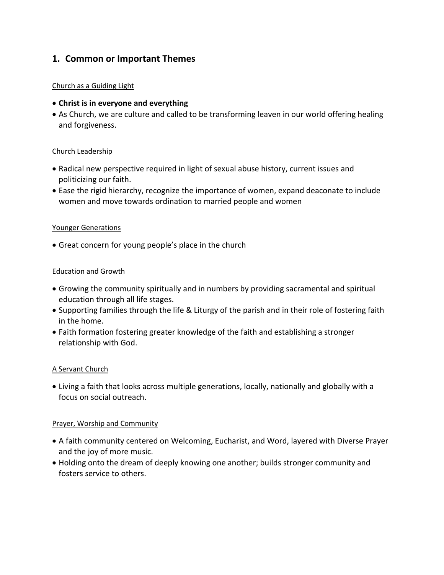# **1. Common or Important Themes**

#### Church as a Guiding Light

- **Christ is in everyone and everything**
- As Church, we are culture and called to be transforming leaven in our world offering healing and forgiveness.

#### Church Leadership

- Radical new perspective required in light of sexual abuse history, current issues and politicizing our faith.
- Ease the rigid hierarchy, recognize the importance of women, expand deaconate to include women and move towards ordination to married people and women

#### Younger Generations

Great concern for young people's place in the church

#### Education and Growth

- Growing the community spiritually and in numbers by providing sacramental and spiritual education through all life stages.
- Supporting families through the life & Liturgy of the parish and in their role of fostering faith in the home.
- Faith formation fostering greater knowledge of the faith and establishing a stronger relationship with God.

### A Servant Church

 Living a faith that looks across multiple generations, locally, nationally and globally with a focus on social outreach.

#### Prayer, Worship and Community

- A faith community centered on Welcoming, Eucharist, and Word, layered with Diverse Prayer and the joy of more music.
- Holding onto the dream of deeply knowing one another; builds stronger community and fosters service to others.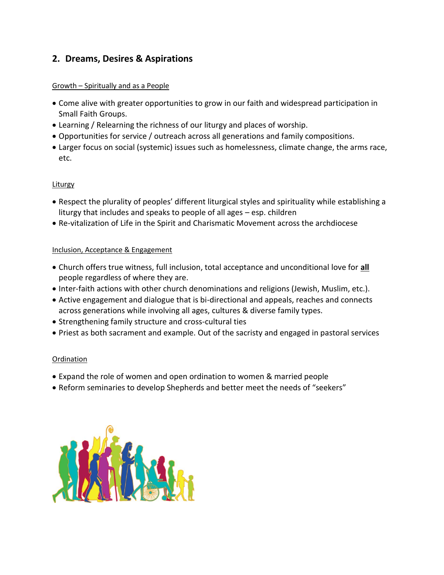# **2. Dreams, Desires & Aspirations**

#### Growth – Spiritually and as a People

- Come alive with greater opportunities to grow in our faith and widespread participation in Small Faith Groups.
- Learning / Relearning the richness of our liturgy and places of worship.
- Opportunities for service / outreach across all generations and family compositions.
- Larger focus on social (systemic) issues such as homelessness, climate change, the arms race, etc.

### **Liturgy**

- Respect the plurality of peoples' different liturgical styles and spirituality while establishing a liturgy that includes and speaks to people of all ages – esp. children
- Re-vitalization of Life in the Spirit and Charismatic Movement across the archdiocese

### Inclusion, Acceptance & Engagement

- Church offers true witness, full inclusion, total acceptance and unconditional love for **all** people regardless of where they are.
- Inter-faith actions with other church denominations and religions (Jewish, Muslim, etc.).
- Active engagement and dialogue that is bi-directional and appeals, reaches and connects across generations while involving all ages, cultures & diverse family types.
- Strengthening family structure and cross-cultural ties
- Priest as both sacrament and example. Out of the sacristy and engaged in pastoral services

### Ordination

- Expand the role of women and open ordination to women & married people
- Reform seminaries to develop Shepherds and better meet the needs of "seekers"